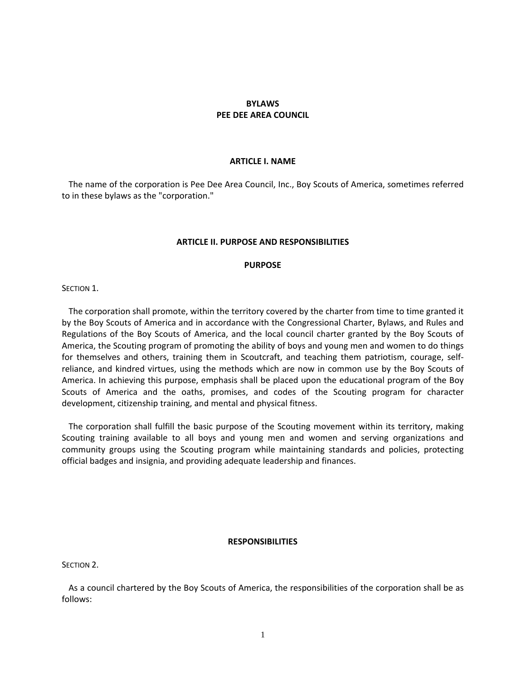# **BYLAWS PEE DEE AREA COUNCIL**

### **ARTICLE I. NAME**

The name of the corporation is Pee Dee Area Council, Inc., Boy Scouts of America, sometimes referred to in these bylaws as the "corporation."

### **ARTICLE II. PURPOSE AND RESPONSIBILITIES**

### **PURPOSE**

SECTION 1.

The corporation shall promote, within the territory covered by the charter from time to time granted it by the Boy Scouts of America and in accordance with the Congressional Charter, Bylaws, and Rules and Regulations of the Boy Scouts of America, and the local council charter granted by the Boy Scouts of America, the Scouting program of promoting the ability of boys and young men and women to do things for themselves and others, training them in Scoutcraft, and teaching them patriotism, courage, selfreliance, and kindred virtues, using the methods which are now in common use by the Boy Scouts of America. In achieving this purpose, emphasis shall be placed upon the educational program of the Boy Scouts of America and the oaths, promises, and codes of the Scouting program for character development, citizenship training, and mental and physical fitness.

The corporation shall fulfill the basic purpose of the Scouting movement within its territory, making Scouting training available to all boys and young men and women and serving organizations and community groups using the Scouting program while maintaining standards and policies, protecting official badges and insignia, and providing adequate leadership and finances.

#### **RESPONSIBILITIES**

SECTION<sub>2</sub>.

As a council chartered by the Boy Scouts of America, the responsibilities of the corporation shall be as follows: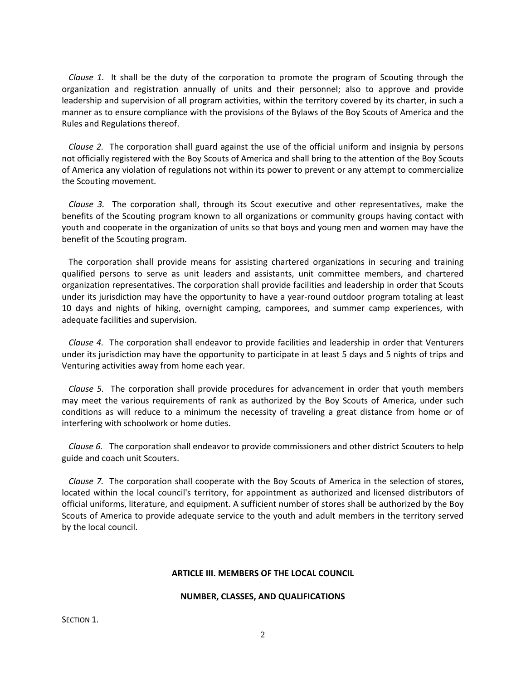*Clause 1.* It shall be the duty of the corporation to promote the program of Scouting through the organization and registration annually of units and their personnel; also to approve and provide leadership and supervision of all program activities, within the territory covered by its charter, in such a manner as to ensure compliance with the provisions of the Bylaws of the Boy Scouts of America and the Rules and Regulations thereof.

*Clause 2.* The corporation shall guard against the use of the official uniform and insignia by persons not officially registered with the Boy Scouts of America and shall bring to the attention of the Boy Scouts of America any violation of regulations not within its power to prevent or any attempt to commercialize the Scouting movement.

*Clause 3.* The corporation shall, through its Scout executive and other representatives, make the benefits of the Scouting program known to all organizations or community groups having contact with youth and cooperate in the organization of units so that boys and young men and women may have the benefit of the Scouting program.

The corporation shall provide means for assisting chartered organizations in securing and training qualified persons to serve as unit leaders and assistants, unit committee members, and chartered organization representatives. The corporation shall provide facilities and leadership in order that Scouts under its jurisdiction may have the opportunity to have a year-round outdoor program totaling at least 10 days and nights of hiking, overnight camping, camporees, and summer camp experiences, with adequate facilities and supervision.

*Clause 4.* The corporation shall endeavor to provide facilities and leadership in order that Venturers under its jurisdiction may have the opportunity to participate in at least 5 days and 5 nights of trips and Venturing activities away from home each year.

*Clause 5.* The corporation shall provide procedures for advancement in order that youth members may meet the various requirements of rank as authorized by the Boy Scouts of America, under such conditions as will reduce to a minimum the necessity of traveling a great distance from home or of interfering with schoolwork or home duties.

*Clause 6.* The corporation shall endeavor to provide commissioners and other district Scouters to help guide and coach unit Scouters.

*Clause 7.* The corporation shall cooperate with the Boy Scouts of America in the selection of stores, located within the local council's territory, for appointment as authorized and licensed distributors of official uniforms, literature, and equipment. A sufficient number of stores shall be authorized by the Boy Scouts of America to provide adequate service to the youth and adult members in the territory served by the local council.

# **ARTICLE III. MEMBERS OF THE LOCAL COUNCIL**

# **NUMBER, CLASSES, AND QUALIFICATIONS**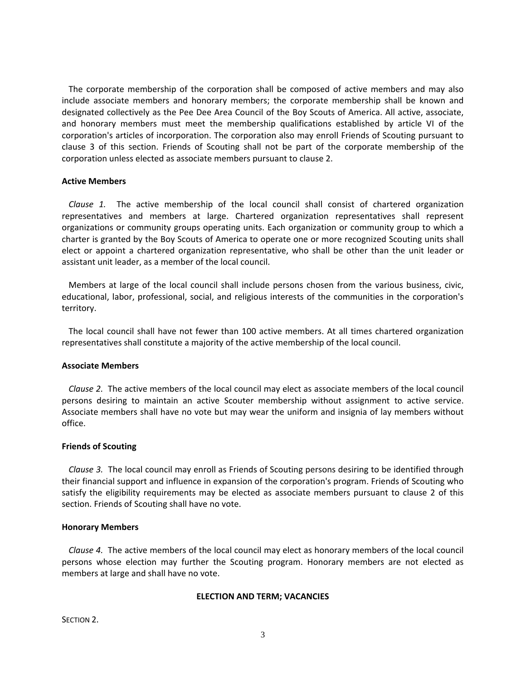The corporate membership of the corporation shall be composed of active members and may also include associate members and honorary members; the corporate membership shall be known and designated collectively as the Pee Dee Area Council of the Boy Scouts of America. All active, associate, and honorary members must meet the membership qualifications established by article VI of the corporation's articles of incorporation. The corporation also may enroll Friends of Scouting pursuant to clause 3 of this section. Friends of Scouting shall not be part of the corporate membership of the corporation unless elected as associate members pursuant to clause 2.

# **Active Members**

*Clause 1.* The active membership of the local council shall consist of chartered organization representatives and members at large. Chartered organization representatives shall represent organizations or community groups operating units. Each organization or community group to which a charter is granted by the Boy Scouts of America to operate one or more recognized Scouting units shall elect or appoint a chartered organization representative, who shall be other than the unit leader or assistant unit leader, as a member of the local council.

Members at large of the local council shall include persons chosen from the various business, civic, educational, labor, professional, social, and religious interests of the communities in the corporation's territory.

The local council shall have not fewer than 100 active members. At all times chartered organization representatives shall constitute a majority of the active membership of the local council.

### **Associate Members**

*Clause 2.* The active members of the local council may elect as associate members of the local council persons desiring to maintain an active Scouter membership without assignment to active service. Associate members shall have no vote but may wear the uniform and insignia of lay members without office.

### **Friends of Scouting**

*Clause 3.* The local council may enroll as Friends of Scouting persons desiring to be identified through their financial support and influence in expansion of the corporation's program. Friends of Scouting who satisfy the eligibility requirements may be elected as associate members pursuant to clause 2 of this section. Friends of Scouting shall have no vote.

### **Honorary Members**

*Clause 4.* The active members of the local council may elect as honorary members of the local council persons whose election may further the Scouting program. Honorary members are not elected as members at large and shall have no vote.

### **ELECTION AND TERM; VACANCIES**

SECTION<sub>2</sub>.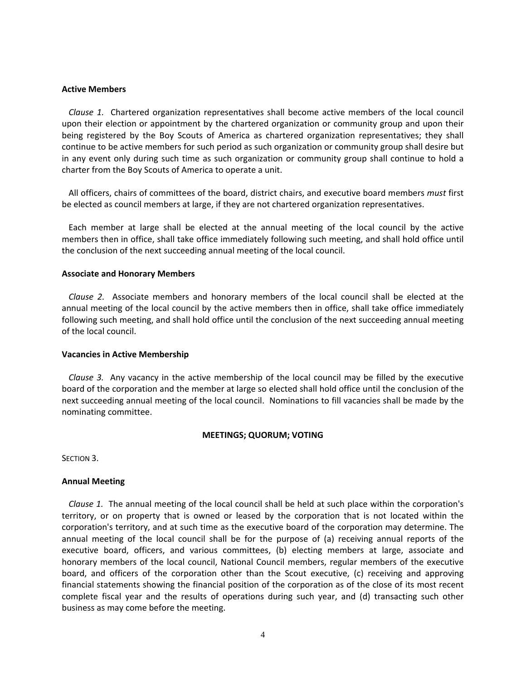### **Active Members**

*Clause 1.* Chartered organization representatives shall become active members of the local council upon their election or appointment by the chartered organization or community group and upon their being registered by the Boy Scouts of America as chartered organization representatives; they shall continue to be active members for such period as such organization or community group shall desire but in any event only during such time as such organization or community group shall continue to hold a charter from the Boy Scouts of America to operate a unit.

All officers, chairs of committees of the board, district chairs, and executive board members *must* first be elected as council members at large, if they are not chartered organization representatives.

Each member at large shall be elected at the annual meeting of the local council by the active members then in office, shall take office immediately following such meeting, and shall hold office until the conclusion of the next succeeding annual meeting of the local council.

### **Associate and Honorary Members**

*Clause 2.* Associate members and honorary members of the local council shall be elected at the annual meeting of the local council by the active members then in office, shall take office immediately following such meeting, and shall hold office until the conclusion of the next succeeding annual meeting of the local council.

# **Vacancies in Active Membership**

*Clause 3.* Any vacancy in the active membership of the local council may be filled by the executive board of the corporation and the member at large so elected shall hold office until the conclusion of the next succeeding annual meeting of the local council. Nominations to fill vacancies shall be made by the nominating committee.

### **MEETINGS; QUORUM; VOTING**

SECTION 3.

# **Annual Meeting**

*Clause 1.* The annual meeting of the local council shall be held at such place within the corporation's territory, or on property that is owned or leased by the corporation that is not located within the corporation's territory, and at such time as the executive board of the corporation may determine. The annual meeting of the local council shall be for the purpose of (a) receiving annual reports of the executive board, officers, and various committees, (b) electing members at large, associate and honorary members of the local council, National Council members, regular members of the executive board, and officers of the corporation other than the Scout executive, (c) receiving and approving financial statements showing the financial position of the corporation as of the close of its most recent complete fiscal year and the results of operations during such year, and (d) transacting such other business as may come before the meeting.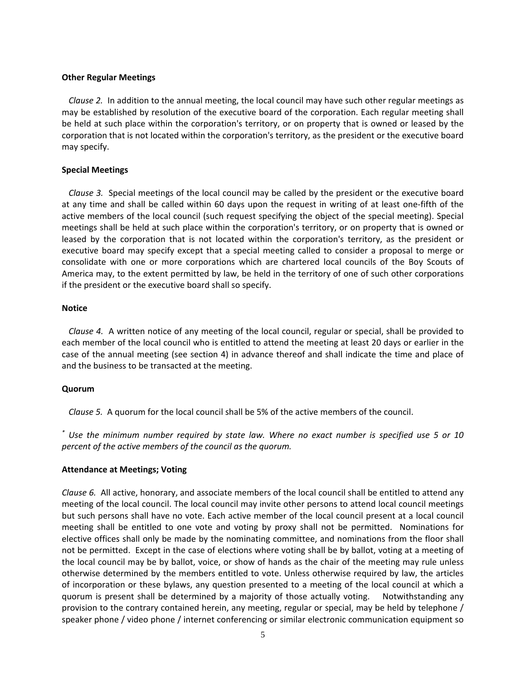# **Other Regular Meetings**

*Clause 2.* In addition to the annual meeting, the local council may have such other regular meetings as may be established by resolution of the executive board of the corporation. Each regular meeting shall be held at such place within the corporation's territory, or on property that is owned or leased by the corporation that is not located within the corporation's territory, as the president or the executive board may specify.

# **Special Meetings**

*Clause 3.* Special meetings of the local council may be called by the president or the executive board at any time and shall be called within 60 days upon the request in writing of at least one‐fifth of the active members of the local council (such request specifying the object of the special meeting). Special meetings shall be held at such place within the corporation's territory, or on property that is owned or leased by the corporation that is not located within the corporation's territory, as the president or executive board may specify except that a special meeting called to consider a proposal to merge or consolidate with one or more corporations which are chartered local councils of the Boy Scouts of America may, to the extent permitted by law, be held in the territory of one of such other corporations if the president or the executive board shall so specify.

# **Notice**

*Clause 4.* A written notice of any meeting of the local council, regular or special, shall be provided to each member of the local council who is entitled to attend the meeting at least 20 days or earlier in the case of the annual meeting (see section 4) in advance thereof and shall indicate the time and place of and the business to be transacted at the meeting.

# **Quorum**

*Clause 5.* A quorum for the local council shall be 5% of the active members of the council.

\* Use the minimum number required by state law. Where no exact number is specified use 5 or 10 *percent of the active members of the council as the quorum.*

# **Attendance at Meetings; Voting**

*Clause 6.* All active, honorary, and associate members of the local council shall be entitled to attend any meeting of the local council. The local council may invite other persons to attend local council meetings but such persons shall have no vote. Each active member of the local council present at a local council meeting shall be entitled to one vote and voting by proxy shall not be permitted. Nominations for elective offices shall only be made by the nominating committee, and nominations from the floor shall not be permitted. Except in the case of elections where voting shall be by ballot, voting at a meeting of the local council may be by ballot, voice, or show of hands as the chair of the meeting may rule unless otherwise determined by the members entitled to vote. Unless otherwise required by law, the articles of incorporation or these bylaws, any question presented to a meeting of the local council at which a quorum is present shall be determined by a majority of those actually voting. Notwithstanding any provision to the contrary contained herein, any meeting, regular or special, may be held by telephone / speaker phone / video phone / internet conferencing or similar electronic communication equipment so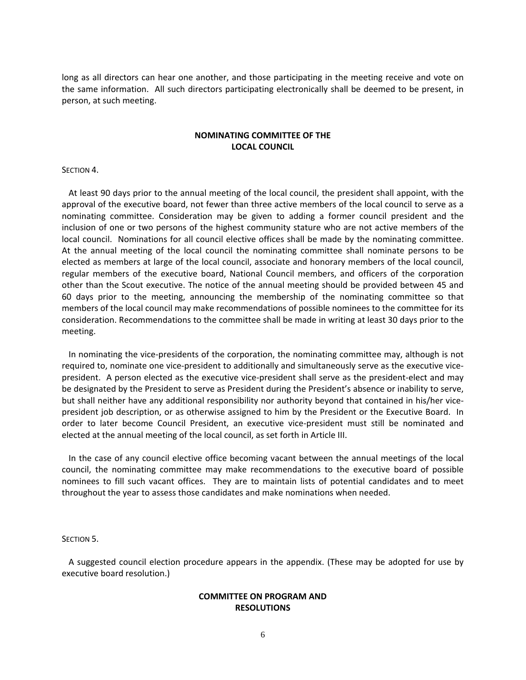long as all directors can hear one another, and those participating in the meeting receive and vote on the same information. All such directors participating electronically shall be deemed to be present, in person, at such meeting.

# **NOMINATING COMMITTEE OF THE LOCAL COUNCIL**

### SECTION 4.

At least 90 days prior to the annual meeting of the local council, the president shall appoint, with the approval of the executive board, not fewer than three active members of the local council to serve as a nominating committee. Consideration may be given to adding a former council president and the inclusion of one or two persons of the highest community stature who are not active members of the local council. Nominations for all council elective offices shall be made by the nominating committee. At the annual meeting of the local council the nominating committee shall nominate persons to be elected as members at large of the local council, associate and honorary members of the local council, regular members of the executive board, National Council members, and officers of the corporation other than the Scout executive. The notice of the annual meeting should be provided between 45 and 60 days prior to the meeting, announcing the membership of the nominating committee so that members of the local council may make recommendations of possible nominees to the committee for its consideration. Recommendations to the committee shall be made in writing at least 30 days prior to the meeting.

In nominating the vice-presidents of the corporation, the nominating committee may, although is not required to, nominate one vice‐president to additionally and simultaneously serve as the executive vice‐ president. A person elected as the executive vice‐president shall serve as the president‐elect and may be designated by the President to serve as President during the President's absence or inability to serve, but shall neither have any additional responsibility nor authority beyond that contained in his/her vice‐ president job description, or as otherwise assigned to him by the President or the Executive Board. In order to later become Council President, an executive vice‐president must still be nominated and elected at the annual meeting of the local council, as set forth in Article III.

In the case of any council elective office becoming vacant between the annual meetings of the local council, the nominating committee may make recommendations to the executive board of possible nominees to fill such vacant offices. They are to maintain lists of potential candidates and to meet throughout the year to assess those candidates and make nominations when needed.

### SECTION 5.

A suggested council election procedure appears in the appendix. (These may be adopted for use by executive board resolution.)

# **COMMITTEE ON PROGRAM AND RESOLUTIONS**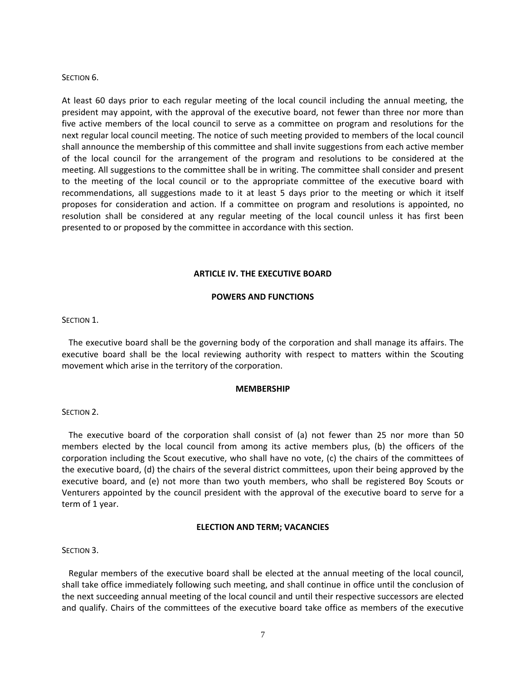### SECTION 6.

At least 60 days prior to each regular meeting of the local council including the annual meeting, the president may appoint, with the approval of the executive board, not fewer than three nor more than five active members of the local council to serve as a committee on program and resolutions for the next regular local council meeting. The notice of such meeting provided to members of the local council shall announce the membership of this committee and shall invite suggestions from each active member of the local council for the arrangement of the program and resolutions to be considered at the meeting. All suggestions to the committee shall be in writing. The committee shall consider and present to the meeting of the local council or to the appropriate committee of the executive board with recommendations, all suggestions made to it at least 5 days prior to the meeting or which it itself proposes for consideration and action. If a committee on program and resolutions is appointed, no resolution shall be considered at any regular meeting of the local council unless it has first been presented to or proposed by the committee in accordance with this section.

### **ARTICLE IV. THE EXECUTIVE BOARD**

### **POWERS AND FUNCTIONS**

#### SECTION 1.

The executive board shall be the governing body of the corporation and shall manage its affairs. The executive board shall be the local reviewing authority with respect to matters within the Scouting movement which arise in the territory of the corporation.

#### **MEMBERSHIP**

#### SECTION 2.

The executive board of the corporation shall consist of (a) not fewer than 25 nor more than 50 members elected by the local council from among its active members plus, (b) the officers of the corporation including the Scout executive, who shall have no vote, (c) the chairs of the committees of the executive board, (d) the chairs of the several district committees, upon their being approved by the executive board, and (e) not more than two youth members, who shall be registered Boy Scouts or Venturers appointed by the council president with the approval of the executive board to serve for a term of 1 year.

#### **ELECTION AND TERM; VACANCIES**

#### SECTION 3.

Regular members of the executive board shall be elected at the annual meeting of the local council, shall take office immediately following such meeting, and shall continue in office until the conclusion of the next succeeding annual meeting of the local council and until their respective successors are elected and qualify. Chairs of the committees of the executive board take office as members of the executive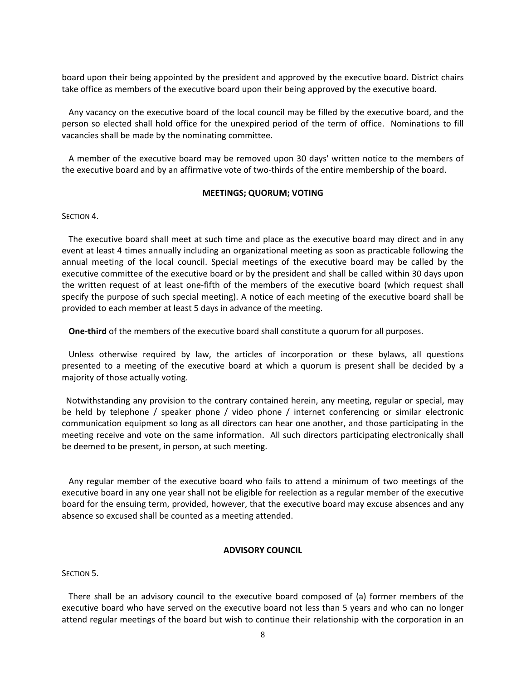board upon their being appointed by the president and approved by the executive board. District chairs take office as members of the executive board upon their being approved by the executive board.

Any vacancy on the executive board of the local council may be filled by the executive board, and the person so elected shall hold office for the unexpired period of the term of office. Nominations to fill vacancies shall be made by the nominating committee.

A member of the executive board may be removed upon 30 days' written notice to the members of the executive board and by an affirmative vote of two-thirds of the entire membership of the board.

### **MEETINGS; QUORUM; VOTING**

#### SECTION 4.

The executive board shall meet at such time and place as the executive board may direct and in any event at least 4 times annually including an organizational meeting as soon as practicable following the annual meeting of the local council. Special meetings of the executive board may be called by the executive committee of the executive board or by the president and shall be called within 30 days upon the written request of at least one‐fifth of the members of the executive board (which request shall specify the purpose of such special meeting). A notice of each meeting of the executive board shall be provided to each member at least 5 days in advance of the meeting.

**One‐third** of the members of the executive board shall constitute a quorum for all purposes.

Unless otherwise required by law, the articles of incorporation or these bylaws, all questions presented to a meeting of the executive board at which a quorum is present shall be decided by a majority of those actually voting.

 Notwithstanding any provision to the contrary contained herein, any meeting, regular or special, may be held by telephone / speaker phone / video phone / internet conferencing or similar electronic communication equipment so long as all directors can hear one another, and those participating in the meeting receive and vote on the same information. All such directors participating electronically shall be deemed to be present, in person, at such meeting.

Any regular member of the executive board who fails to attend a minimum of two meetings of the executive board in any one year shall not be eligible for reelection as a regular member of the executive board for the ensuing term, provided, however, that the executive board may excuse absences and any absence so excused shall be counted as a meeting attended.

# **ADVISORY COUNCIL**

SECTION<sub>5</sub>.

There shall be an advisory council to the executive board composed of (a) former members of the executive board who have served on the executive board not less than 5 years and who can no longer attend regular meetings of the board but wish to continue their relationship with the corporation in an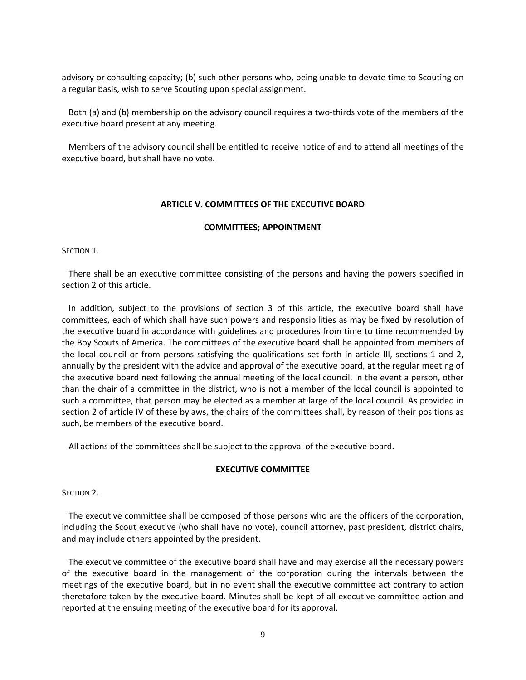advisory or consulting capacity; (b) such other persons who, being unable to devote time to Scouting on a regular basis, wish to serve Scouting upon special assignment.

Both (a) and (b) membership on the advisory council requires a two-thirds vote of the members of the executive board present at any meeting.

Members of the advisory council shall be entitled to receive notice of and to attend all meetings of the executive board, but shall have no vote.

# **ARTICLE V. COMMITTEES OF THE EXECUTIVE BOARD**

# **COMMITTEES; APPOINTMENT**

SECTION 1.

There shall be an executive committee consisting of the persons and having the powers specified in section 2 of this article.

In addition, subject to the provisions of section 3 of this article, the executive board shall have committees, each of which shall have such powers and responsibilities as may be fixed by resolution of the executive board in accordance with guidelines and procedures from time to time recommended by the Boy Scouts of America. The committees of the executive board shall be appointed from members of the local council or from persons satisfying the qualifications set forth in article III, sections 1 and 2, annually by the president with the advice and approval of the executive board, at the regular meeting of the executive board next following the annual meeting of the local council. In the event a person, other than the chair of a committee in the district, who is not a member of the local council is appointed to such a committee, that person may be elected as a member at large of the local council. As provided in section 2 of article IV of these bylaws, the chairs of the committees shall, by reason of their positions as such, be members of the executive board.

All actions of the committees shall be subject to the approval of the executive board.

# **EXECUTIVE COMMITTEE**

SECTION 2.

The executive committee shall be composed of those persons who are the officers of the corporation, including the Scout executive (who shall have no vote), council attorney, past president, district chairs, and may include others appointed by the president.

The executive committee of the executive board shall have and may exercise all the necessary powers of the executive board in the management of the corporation during the intervals between the meetings of the executive board, but in no event shall the executive committee act contrary to action theretofore taken by the executive board. Minutes shall be kept of all executive committee action and reported at the ensuing meeting of the executive board for its approval.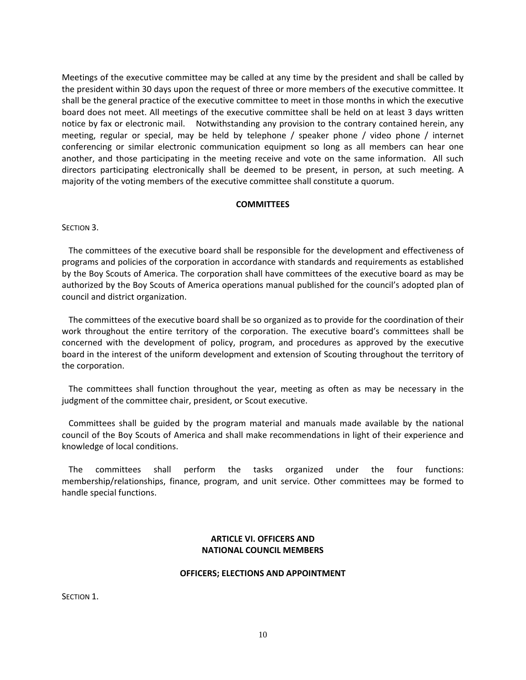Meetings of the executive committee may be called at any time by the president and shall be called by the president within 30 days upon the request of three or more members of the executive committee. It shall be the general practice of the executive committee to meet in those months in which the executive board does not meet. All meetings of the executive committee shall be held on at least 3 days written notice by fax or electronic mail. Notwithstanding any provision to the contrary contained herein, any meeting, regular or special, may be held by telephone / speaker phone / video phone / internet conferencing or similar electronic communication equipment so long as all members can hear one another, and those participating in the meeting receive and vote on the same information. All such directors participating electronically shall be deemed to be present, in person, at such meeting. A majority of the voting members of the executive committee shall constitute a quorum.

### **COMMITTEES**

SECTION 3.

The committees of the executive board shall be responsible for the development and effectiveness of programs and policies of the corporation in accordance with standards and requirements as established by the Boy Scouts of America. The corporation shall have committees of the executive board as may be authorized by the Boy Scouts of America operations manual published for the council's adopted plan of council and district organization.

The committees of the executive board shall be so organized as to provide for the coordination of their work throughout the entire territory of the corporation. The executive board's committees shall be concerned with the development of policy, program, and procedures as approved by the executive board in the interest of the uniform development and extension of Scouting throughout the territory of the corporation.

The committees shall function throughout the year, meeting as often as may be necessary in the judgment of the committee chair, president, or Scout executive.

Committees shall be guided by the program material and manuals made available by the national council of the Boy Scouts of America and shall make recommendations in light of their experience and knowledge of local conditions.

The committees shall perform the tasks organized under the four functions: membership/relationships, finance, program, and unit service. Other committees may be formed to handle special functions.

# **ARTICLE VI. OFFICERS AND NATIONAL COUNCIL MEMBERS**

# **OFFICERS; ELECTIONS AND APPOINTMENT**

SECTION 1.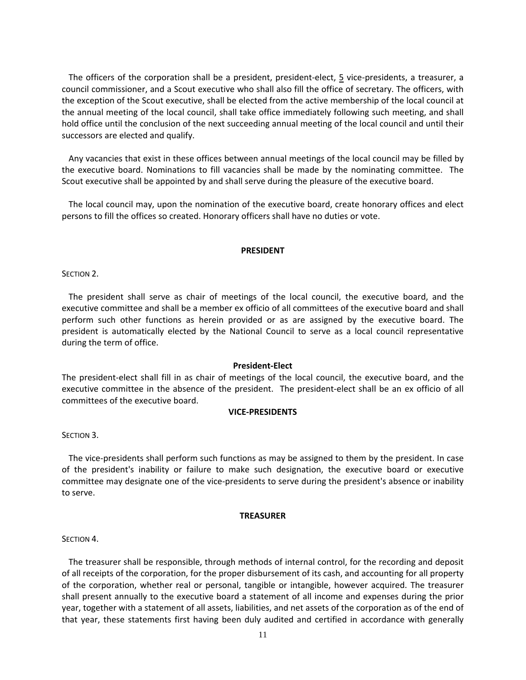The officers of the corporation shall be a president, president-elect, 5 vice-presidents, a treasurer, a council commissioner, and a Scout executive who shall also fill the office of secretary. The officers, with the exception of the Scout executive, shall be elected from the active membership of the local council at the annual meeting of the local council, shall take office immediately following such meeting, and shall hold office until the conclusion of the next succeeding annual meeting of the local council and until their successors are elected and qualify.

Any vacancies that exist in these offices between annual meetings of the local council may be filled by the executive board. Nominations to fill vacancies shall be made by the nominating committee. The Scout executive shall be appointed by and shall serve during the pleasure of the executive board.

The local council may, upon the nomination of the executive board, create honorary offices and elect persons to fill the offices so created. Honorary officers shall have no duties or vote.

### **PRESIDENT**

SECTION 2.

The president shall serve as chair of meetings of the local council, the executive board, and the executive committee and shall be a member ex officio of all committees of the executive board and shall perform such other functions as herein provided or as are assigned by the executive board. The president is automatically elected by the National Council to serve as a local council representative during the term of office.

# **President‐Elect**

The president‐elect shall fill in as chair of meetings of the local council, the executive board, and the executive committee in the absence of the president. The president‐elect shall be an ex officio of all committees of the executive board.

# **VICE‐PRESIDENTS**

SECTION 3.

The vice-presidents shall perform such functions as may be assigned to them by the president. In case of the president's inability or failure to make such designation, the executive board or executive committee may designate one of the vice-presidents to serve during the president's absence or inability to serve.

### **TREASURER**

SECTION 4.

The treasurer shall be responsible, through methods of internal control, for the recording and deposit of all receipts of the corporation, for the proper disbursement of its cash, and accounting for all property of the corporation, whether real or personal, tangible or intangible, however acquired. The treasurer shall present annually to the executive board a statement of all income and expenses during the prior year, together with a statement of all assets, liabilities, and net assets of the corporation as of the end of that year, these statements first having been duly audited and certified in accordance with generally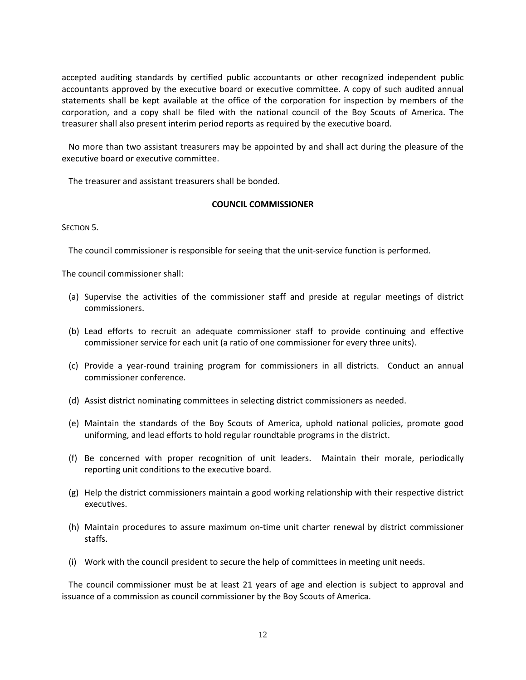accepted auditing standards by certified public accountants or other recognized independent public accountants approved by the executive board or executive committee. A copy of such audited annual statements shall be kept available at the office of the corporation for inspection by members of the corporation, and a copy shall be filed with the national council of the Boy Scouts of America. The treasurer shall also present interim period reports as required by the executive board.

No more than two assistant treasurers may be appointed by and shall act during the pleasure of the executive board or executive committee.

The treasurer and assistant treasurers shall be bonded.

# **COUNCIL COMMISSIONER**

SECTION 5.

The council commissioner is responsible for seeing that the unit‐service function is performed.

The council commissioner shall:

- (a) Supervise the activities of the commissioner staff and preside at regular meetings of district commissioners.
- (b) Lead efforts to recruit an adequate commissioner staff to provide continuing and effective commissioner service for each unit (a ratio of one commissioner for every three units).
- (c) Provide a year‐round training program for commissioners in all districts. Conduct an annual commissioner conference.
- (d) Assist district nominating committees in selecting district commissioners as needed.
- (e) Maintain the standards of the Boy Scouts of America, uphold national policies, promote good uniforming, and lead efforts to hold regular roundtable programs in the district.
- (f) Be concerned with proper recognition of unit leaders. Maintain their morale, periodically reporting unit conditions to the executive board.
- (g) Help the district commissioners maintain a good working relationship with their respective district executives.
- (h) Maintain procedures to assure maximum on‐time unit charter renewal by district commissioner staffs.
- (i) Work with the council president to secure the help of committees in meeting unit needs.

The council commissioner must be at least 21 years of age and election is subject to approval and issuance of a commission as council commissioner by the Boy Scouts of America.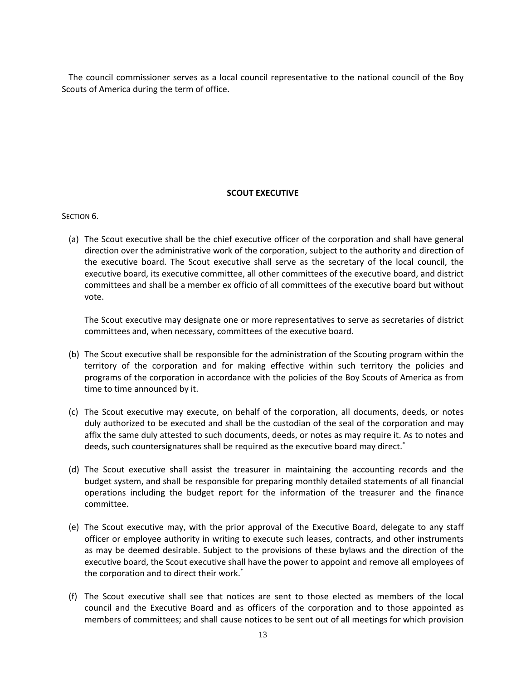The council commissioner serves as a local council representative to the national council of the Boy Scouts of America during the term of office.

# **SCOUT EXECUTIVE**

# SECTION<sub>6</sub>.

(a) The Scout executive shall be the chief executive officer of the corporation and shall have general direction over the administrative work of the corporation, subject to the authority and direction of the executive board. The Scout executive shall serve as the secretary of the local council, the executive board, its executive committee, all other committees of the executive board, and district committees and shall be a member ex officio of all committees of the executive board but without vote.

The Scout executive may designate one or more representatives to serve as secretaries of district committees and, when necessary, committees of the executive board.

- (b) The Scout executive shall be responsible for the administration of the Scouting program within the territory of the corporation and for making effective within such territory the policies and programs of the corporation in accordance with the policies of the Boy Scouts of America as from time to time announced by it.
- (c) The Scout executive may execute, on behalf of the corporation, all documents, deeds, or notes duly authorized to be executed and shall be the custodian of the seal of the corporation and may affix the same duly attested to such documents, deeds, or notes as may require it. As to notes and deeds, such countersignatures shall be required as the executive board may direct.\*
- (d) The Scout executive shall assist the treasurer in maintaining the accounting records and the budget system, and shall be responsible for preparing monthly detailed statements of all financial operations including the budget report for the information of the treasurer and the finance committee.
- (e) The Scout executive may, with the prior approval of the Executive Board, delegate to any staff officer or employee authority in writing to execute such leases, contracts, and other instruments as may be deemed desirable. Subject to the provisions of these bylaws and the direction of the executive board, the Scout executive shall have the power to appoint and remove all employees of the corporation and to direct their work.\*
- (f) The Scout executive shall see that notices are sent to those elected as members of the local council and the Executive Board and as officers of the corporation and to those appointed as members of committees; and shall cause notices to be sent out of all meetings for which provision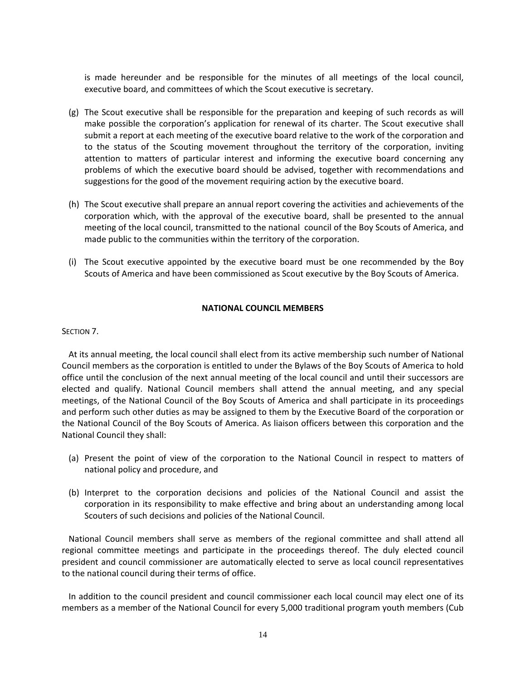is made hereunder and be responsible for the minutes of all meetings of the local council, executive board, and committees of which the Scout executive is secretary.

- (g) The Scout executive shall be responsible for the preparation and keeping of such records as will make possible the corporation's application for renewal of its charter. The Scout executive shall submit a report at each meeting of the executive board relative to the work of the corporation and to the status of the Scouting movement throughout the territory of the corporation, inviting attention to matters of particular interest and informing the executive board concerning any problems of which the executive board should be advised, together with recommendations and suggestions for the good of the movement requiring action by the executive board.
- (h) The Scout executive shall prepare an annual report covering the activities and achievements of the corporation which, with the approval of the executive board, shall be presented to the annual meeting of the local council, transmitted to the national council of the Boy Scouts of America, and made public to the communities within the territory of the corporation.
- (i) The Scout executive appointed by the executive board must be one recommended by the Boy Scouts of America and have been commissioned as Scout executive by the Boy Scouts of America.

# **NATIONAL COUNCIL MEMBERS**

### SECTION 7.

At its annual meeting, the local council shall elect from its active membership such number of National Council members as the corporation is entitled to under the Bylaws of the Boy Scouts of America to hold office until the conclusion of the next annual meeting of the local council and until their successors are elected and qualify. National Council members shall attend the annual meeting, and any special meetings, of the National Council of the Boy Scouts of America and shall participate in its proceedings and perform such other duties as may be assigned to them by the Executive Board of the corporation or the National Council of the Boy Scouts of America. As liaison officers between this corporation and the National Council they shall:

- (a) Present the point of view of the corporation to the National Council in respect to matters of national policy and procedure, and
- (b) Interpret to the corporation decisions and policies of the National Council and assist the corporation in its responsibility to make effective and bring about an understanding among local Scouters of such decisions and policies of the National Council.

National Council members shall serve as members of the regional committee and shall attend all regional committee meetings and participate in the proceedings thereof. The duly elected council president and council commissioner are automatically elected to serve as local council representatives to the national council during their terms of office.

In addition to the council president and council commissioner each local council may elect one of its members as a member of the National Council for every 5,000 traditional program youth members (Cub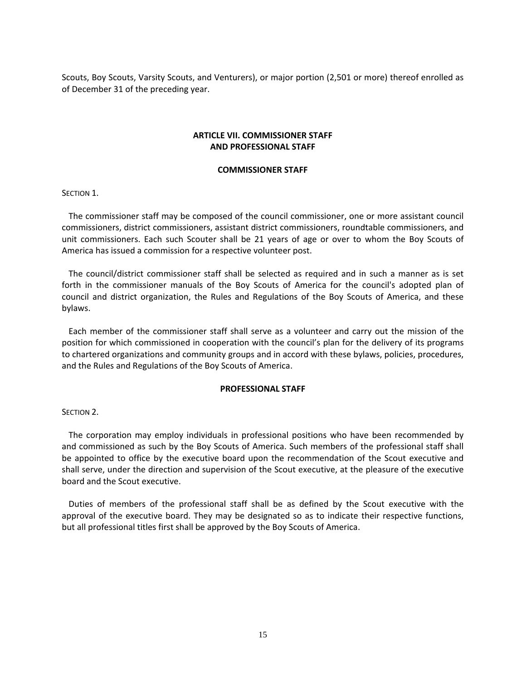Scouts, Boy Scouts, Varsity Scouts, and Venturers), or major portion (2,501 or more) thereof enrolled as of December 31 of the preceding year.

# **ARTICLE VII. COMMISSIONER STAFF AND PROFESSIONAL STAFF**

#### **COMMISSIONER STAFF**

SECTION 1.

The commissioner staff may be composed of the council commissioner, one or more assistant council commissioners, district commissioners, assistant district commissioners, roundtable commissioners, and unit commissioners. Each such Scouter shall be 21 years of age or over to whom the Boy Scouts of America has issued a commission for a respective volunteer post.

The council/district commissioner staff shall be selected as required and in such a manner as is set forth in the commissioner manuals of the Boy Scouts of America for the council's adopted plan of council and district organization, the Rules and Regulations of the Boy Scouts of America, and these bylaws.

Each member of the commissioner staff shall serve as a volunteer and carry out the mission of the position for which commissioned in cooperation with the council's plan for the delivery of its programs to chartered organizations and community groups and in accord with these bylaws, policies, procedures, and the Rules and Regulations of the Boy Scouts of America.

### **PROFESSIONAL STAFF**

SECTION 2.

The corporation may employ individuals in professional positions who have been recommended by and commissioned as such by the Boy Scouts of America. Such members of the professional staff shall be appointed to office by the executive board upon the recommendation of the Scout executive and shall serve, under the direction and supervision of the Scout executive, at the pleasure of the executive board and the Scout executive.

Duties of members of the professional staff shall be as defined by the Scout executive with the approval of the executive board. They may be designated so as to indicate their respective functions, but all professional titles first shall be approved by the Boy Scouts of America.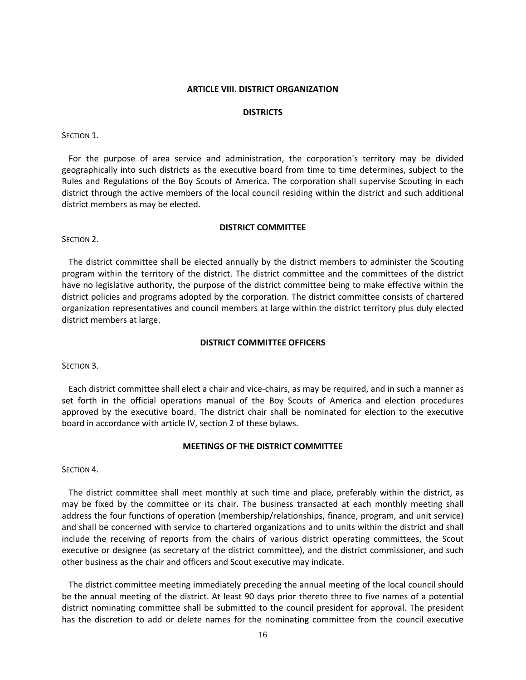### **ARTICLE VIII. DISTRICT ORGANIZATION**

### **DISTRICTS**

### SECTION 1.

For the purpose of area service and administration, the corporation's territory may be divided geographically into such districts as the executive board from time to time determines, subject to the Rules and Regulations of the Boy Scouts of America. The corporation shall supervise Scouting in each district through the active members of the local council residing within the district and such additional district members as may be elected.

### **DISTRICT COMMITTEE**

### SECTION<sub>2</sub>.

The district committee shall be elected annually by the district members to administer the Scouting program within the territory of the district. The district committee and the committees of the district have no legislative authority, the purpose of the district committee being to make effective within the district policies and programs adopted by the corporation. The district committee consists of chartered organization representatives and council members at large within the district territory plus duly elected district members at large.

### **DISTRICT COMMITTEE OFFICERS**

### SECTION 3.

Each district committee shall elect a chair and vice‐chairs, as may be required, and in such a manner as set forth in the official operations manual of the Boy Scouts of America and election procedures approved by the executive board. The district chair shall be nominated for election to the executive board in accordance with article IV, section 2 of these bylaws.

### **MEETINGS OF THE DISTRICT COMMITTEE**

# SECTION<sub>4</sub>.

The district committee shall meet monthly at such time and place, preferably within the district, as may be fixed by the committee or its chair. The business transacted at each monthly meeting shall address the four functions of operation (membership/relationships, finance, program, and unit service) and shall be concerned with service to chartered organizations and to units within the district and shall include the receiving of reports from the chairs of various district operating committees, the Scout executive or designee (as secretary of the district committee), and the district commissioner, and such other business as the chair and officers and Scout executive may indicate.

The district committee meeting immediately preceding the annual meeting of the local council should be the annual meeting of the district. At least 90 days prior thereto three to five names of a potential district nominating committee shall be submitted to the council president for approval. The president has the discretion to add or delete names for the nominating committee from the council executive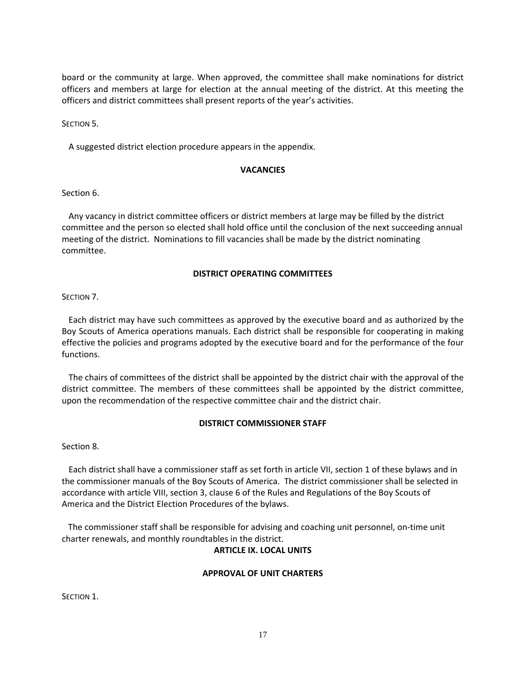board or the community at large. When approved, the committee shall make nominations for district officers and members at large for election at the annual meeting of the district. At this meeting the officers and district committees shall present reports of the year's activities.

SECTION 5.

A suggested district election procedure appears in the appendix.

# **VACANCIES**

Section 6.

Any vacancy in district committee officers or district members at large may be filled by the district committee and the person so elected shall hold office until the conclusion of the next succeeding annual meeting of the district. Nominations to fill vacancies shall be made by the district nominating committee.

# **DISTRICT OPERATING COMMITTEES**

SECTION 7.

Each district may have such committees as approved by the executive board and as authorized by the Boy Scouts of America operations manuals. Each district shall be responsible for cooperating in making effective the policies and programs adopted by the executive board and for the performance of the four functions.

The chairs of committees of the district shall be appointed by the district chair with the approval of the district committee. The members of these committees shall be appointed by the district committee, upon the recommendation of the respective committee chair and the district chair.

# **DISTRICT COMMISSIONER STAFF**

Section 8.

Each district shall have a commissioner staff as set forth in article VII, section 1 of these bylaws and in the commissioner manuals of the Boy Scouts of America. The district commissioner shall be selected in accordance with article VIII, section 3, clause 6 of the Rules and Regulations of the Boy Scouts of America and the District Election Procedures of the bylaws.

 The commissioner staff shall be responsible for advising and coaching unit personnel, on‐time unit charter renewals, and monthly roundtables in the district.

# **ARTICLE IX. LOCAL UNITS**

# **APPROVAL OF UNIT CHARTERS**

SECTION 1.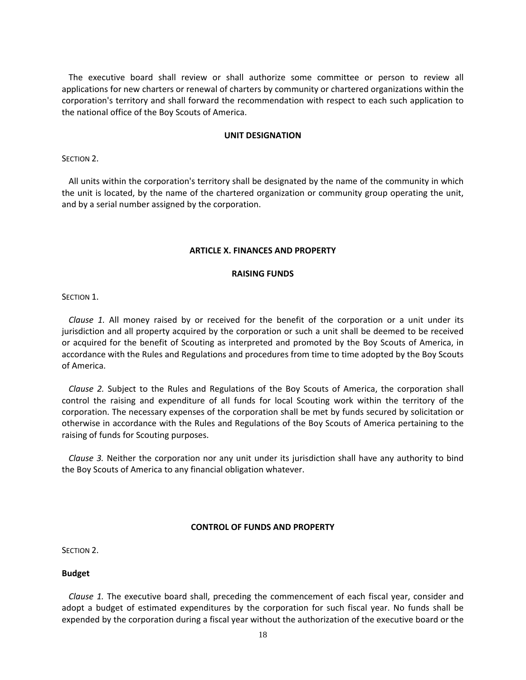The executive board shall review or shall authorize some committee or person to review all applications for new charters or renewal of charters by community or chartered organizations within the corporation's territory and shall forward the recommendation with respect to each such application to the national office of the Boy Scouts of America.

### **UNIT DESIGNATION**

SECTION 2.

All units within the corporation's territory shall be designated by the name of the community in which the unit is located, by the name of the chartered organization or community group operating the unit, and by a serial number assigned by the corporation.

### **ARTICLE X. FINANCES AND PROPERTY**

### **RAISING FUNDS**

SECTION 1.

*Clause 1.* All money raised by or received for the benefit of the corporation or a unit under its jurisdiction and all property acquired by the corporation or such a unit shall be deemed to be received or acquired for the benefit of Scouting as interpreted and promoted by the Boy Scouts of America, in accordance with the Rules and Regulations and procedures from time to time adopted by the Boy Scouts of America.

*Clause 2.* Subject to the Rules and Regulations of the Boy Scouts of America, the corporation shall control the raising and expenditure of all funds for local Scouting work within the territory of the corporation. The necessary expenses of the corporation shall be met by funds secured by solicitation or otherwise in accordance with the Rules and Regulations of the Boy Scouts of America pertaining to the raising of funds for Scouting purposes.

*Clause 3.* Neither the corporation nor any unit under its jurisdiction shall have any authority to bind the Boy Scouts of America to any financial obligation whatever.

# **CONTROL OF FUNDS AND PROPERTY**

SECTION 2.

### **Budget**

*Clause 1.* The executive board shall, preceding the commencement of each fiscal year, consider and adopt a budget of estimated expenditures by the corporation for such fiscal year. No funds shall be expended by the corporation during a fiscal year without the authorization of the executive board or the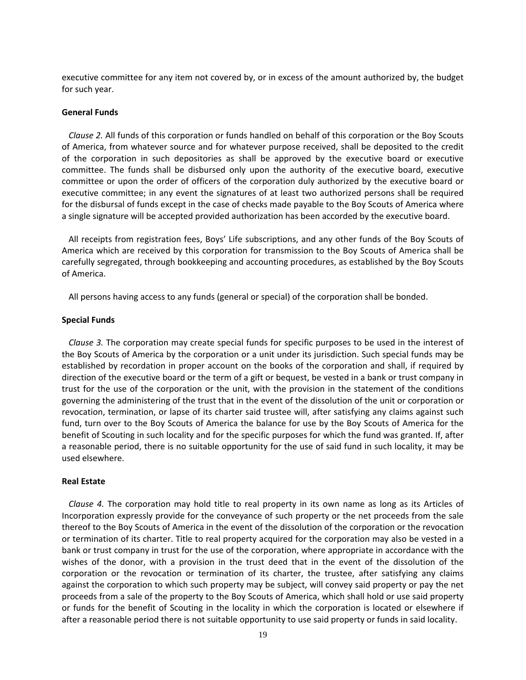executive committee for any item not covered by, or in excess of the amount authorized by, the budget for such year.

### **General Funds**

*Clause 2.* All funds of this corporation or funds handled on behalf of this corporation or the Boy Scouts of America, from whatever source and for whatever purpose received, shall be deposited to the credit of the corporation in such depositories as shall be approved by the executive board or executive committee. The funds shall be disbursed only upon the authority of the executive board, executive committee or upon the order of officers of the corporation duly authorized by the executive board or executive committee; in any event the signatures of at least two authorized persons shall be required for the disbursal of funds except in the case of checks made payable to the Boy Scouts of America where a single signature will be accepted provided authorization has been accorded by the executive board.

All receipts from registration fees, Boys' Life subscriptions, and any other funds of the Boy Scouts of America which are received by this corporation for transmission to the Boy Scouts of America shall be carefully segregated, through bookkeeping and accounting procedures, as established by the Boy Scouts of America.

All persons having access to any funds (general or special) of the corporation shall be bonded.

#### **Special Funds**

*Clause 3.* The corporation may create special funds for specific purposes to be used in the interest of the Boy Scouts of America by the corporation or a unit under its jurisdiction. Such special funds may be established by recordation in proper account on the books of the corporation and shall, if required by direction of the executive board or the term of a gift or bequest, be vested in a bank or trust company in trust for the use of the corporation or the unit, with the provision in the statement of the conditions governing the administering of the trust that in the event of the dissolution of the unit or corporation or revocation, termination, or lapse of its charter said trustee will, after satisfying any claims against such fund, turn over to the Boy Scouts of America the balance for use by the Boy Scouts of America for the benefit of Scouting in such locality and for the specific purposes for which the fund was granted. If, after a reasonable period, there is no suitable opportunity for the use of said fund in such locality, it may be used elsewhere.

### **Real Estate**

*Clause 4.* The corporation may hold title to real property in its own name as long as its Articles of Incorporation expressly provide for the conveyance of such property or the net proceeds from the sale thereof to the Boy Scouts of America in the event of the dissolution of the corporation or the revocation or termination of its charter. Title to real property acquired for the corporation may also be vested in a bank or trust company in trust for the use of the corporation, where appropriate in accordance with the wishes of the donor, with a provision in the trust deed that in the event of the dissolution of the corporation or the revocation or termination of its charter, the trustee, after satisfying any claims against the corporation to which such property may be subject, will convey said property or pay the net proceeds from a sale of the property to the Boy Scouts of America, which shall hold or use said property or funds for the benefit of Scouting in the locality in which the corporation is located or elsewhere if after a reasonable period there is not suitable opportunity to use said property or funds in said locality.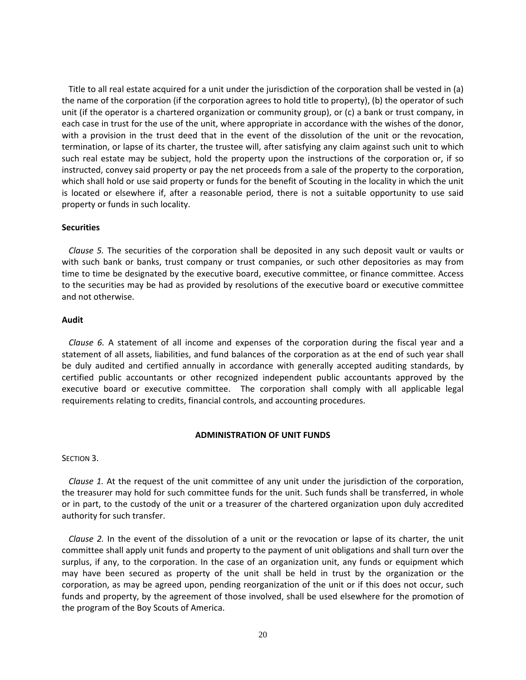Title to all real estate acquired for a unit under the jurisdiction of the corporation shall be vested in (a) the name of the corporation (if the corporation agrees to hold title to property), (b) the operator of such unit (if the operator is a chartered organization or community group), or (c) a bank or trust company, in each case in trust for the use of the unit, where appropriate in accordance with the wishes of the donor, with a provision in the trust deed that in the event of the dissolution of the unit or the revocation, termination, or lapse of its charter, the trustee will, after satisfying any claim against such unit to which such real estate may be subject, hold the property upon the instructions of the corporation or, if so instructed, convey said property or pay the net proceeds from a sale of the property to the corporation, which shall hold or use said property or funds for the benefit of Scouting in the locality in which the unit is located or elsewhere if, after a reasonable period, there is not a suitable opportunity to use said property or funds in such locality.

### **Securities**

*Clause 5.* The securities of the corporation shall be deposited in any such deposit vault or vaults or with such bank or banks, trust company or trust companies, or such other depositories as may from time to time be designated by the executive board, executive committee, or finance committee. Access to the securities may be had as provided by resolutions of the executive board or executive committee and not otherwise.

### **Audit**

*Clause 6.* A statement of all income and expenses of the corporation during the fiscal year and a statement of all assets, liabilities, and fund balances of the corporation as at the end of such year shall be duly audited and certified annually in accordance with generally accepted auditing standards, by certified public accountants or other recognized independent public accountants approved by the executive board or executive committee. The corporation shall comply with all applicable legal requirements relating to credits, financial controls, and accounting procedures.

# **ADMINISTRATION OF UNIT FUNDS**

SECTION 3.

*Clause 1.* At the request of the unit committee of any unit under the jurisdiction of the corporation, the treasurer may hold for such committee funds for the unit. Such funds shall be transferred, in whole or in part, to the custody of the unit or a treasurer of the chartered organization upon duly accredited authority for such transfer.

*Clause 2.* In the event of the dissolution of a unit or the revocation or lapse of its charter, the unit committee shall apply unit funds and property to the payment of unit obligations and shall turn over the surplus, if any, to the corporation. In the case of an organization unit, any funds or equipment which may have been secured as property of the unit shall be held in trust by the organization or the corporation, as may be agreed upon, pending reorganization of the unit or if this does not occur, such funds and property, by the agreement of those involved, shall be used elsewhere for the promotion of the program of the Boy Scouts of America.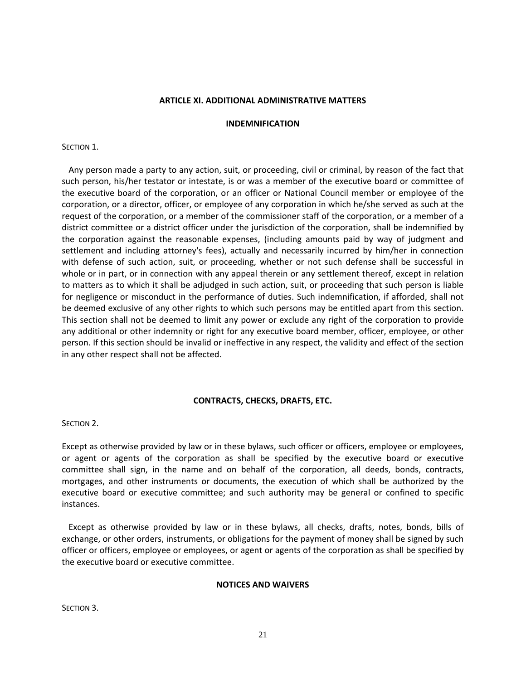### **ARTICLE XI. ADDITIONAL ADMINISTRATIVE MATTERS**

### **INDEMNIFICATION**

### SECTION 1.

Any person made a party to any action, suit, or proceeding, civil or criminal, by reason of the fact that such person, his/her testator or intestate, is or was a member of the executive board or committee of the executive board of the corporation, or an officer or National Council member or employee of the corporation, or a director, officer, or employee of any corporation in which he/she served as such at the request of the corporation, or a member of the commissioner staff of the corporation, or a member of a district committee or a district officer under the jurisdiction of the corporation, shall be indemnified by the corporation against the reasonable expenses, (including amounts paid by way of judgment and settlement and including attorney's fees), actually and necessarily incurred by him/her in connection with defense of such action, suit, or proceeding, whether or not such defense shall be successful in whole or in part, or in connection with any appeal therein or any settlement thereof, except in relation to matters as to which it shall be adjudged in such action, suit, or proceeding that such person is liable for negligence or misconduct in the performance of duties. Such indemnification, if afforded, shall not be deemed exclusive of any other rights to which such persons may be entitled apart from this section. This section shall not be deemed to limit any power or exclude any right of the corporation to provide any additional or other indemnity or right for any executive board member, officer, employee, or other person. If this section should be invalid or ineffective in any respect, the validity and effect of the section in any other respect shall not be affected.

# **CONTRACTS, CHECKS, DRAFTS, ETC.**

SECTION 2.

Except as otherwise provided by law or in these bylaws, such officer or officers, employee or employees, or agent or agents of the corporation as shall be specified by the executive board or executive committee shall sign, in the name and on behalf of the corporation, all deeds, bonds, contracts, mortgages, and other instruments or documents, the execution of which shall be authorized by the executive board or executive committee; and such authority may be general or confined to specific instances.

Except as otherwise provided by law or in these bylaws, all checks, drafts, notes, bonds, bills of exchange, or other orders, instruments, or obligations for the payment of money shall be signed by such officer or officers, employee or employees, or agent or agents of the corporation as shall be specified by the executive board or executive committee.

# **NOTICES AND WAIVERS**

SECTION 3.